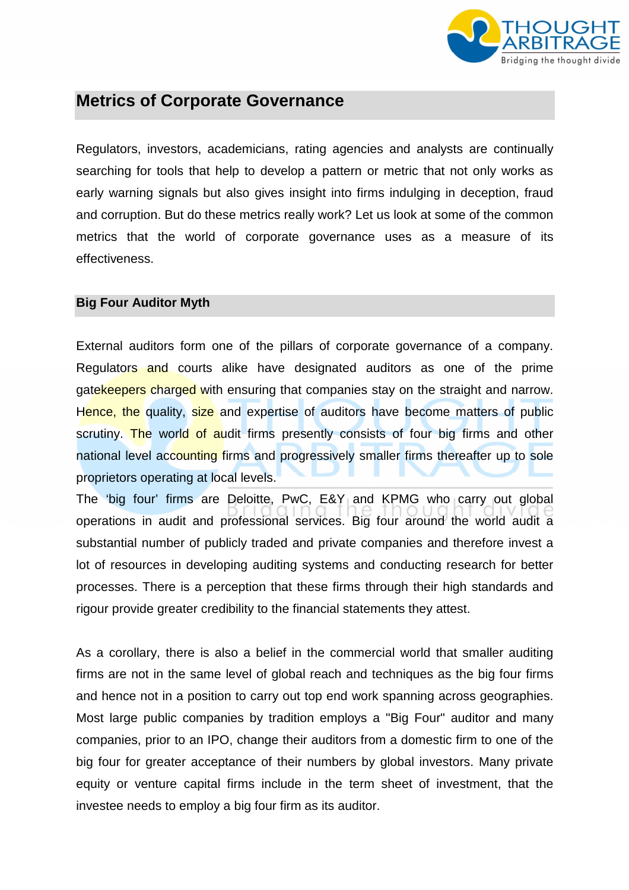

## **Metrics of Corporate Governance**

Regulators, investors, academicians, rating agencies and analysts are continually searching for tools that help to develop a pattern or metric that not only works as early warning signals but also gives insight into firms indulging in deception, fraud and corruption. But do these metrics really work? Let us look at some of the common metrics that the world of corporate governance uses as a measure of its effectiveness.

### **Big Four Auditor Myth**

External auditors form one of the pillars of corporate governance of a company. Regulators and courts alike have designated auditors as one of the prime gatekeepers charged with ensuring that companies stay on the straight and narrow. Hence, the quality, size and expertise of auditors have become matters of public scrutiny. The world of audit firms presently consists of four big firms and other national level accounting firms and progressively smaller firms thereafter up to sole proprietors operating at local levels.

The 'big four' firms are Deloitte, PwC, E&Y and KPMG who carry out global operations in audit and professional services. Big four around the world audit a substantial number of publicly traded and private companies and therefore invest a lot of resources in developing auditing systems and conducting research for better processes. There is a perception that these firms through their high standards and rigour provide greater credibility to the financial statements they attest.

As a corollary, there is also a belief in the commercial world that smaller auditing firms are not in the same level of global reach and techniques as the big four firms and hence not in a position to carry out top end work spanning across geographies. Most large public companies by tradition employs a "Big Four" auditor and many companies, prior to an IPO, change their auditors from a domestic firm to one of the big four for greater acceptance of their numbers by global investors. Many private equity or venture capital firms include in the term sheet of investment, that the investee needs to employ a big four firm as its auditor.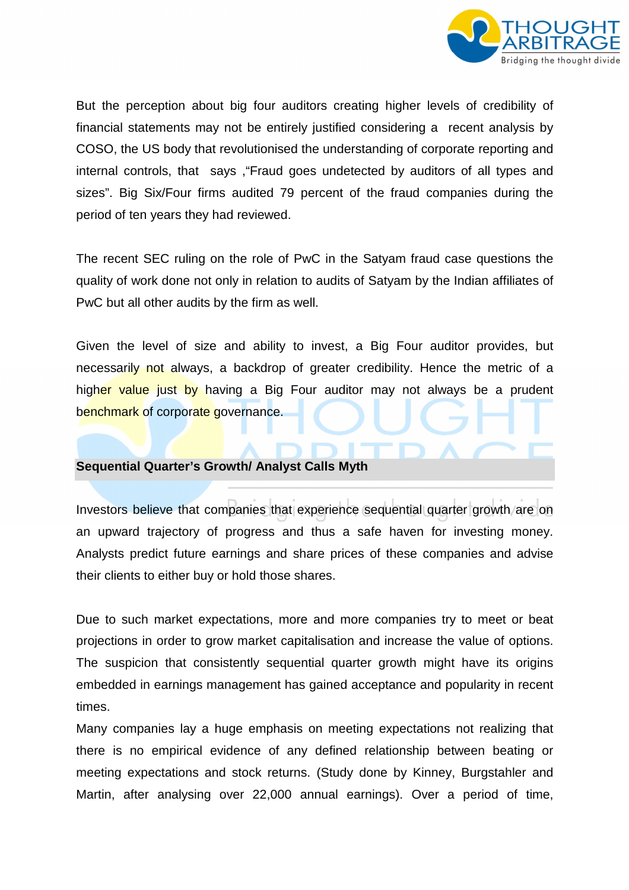

But the perception about big four auditors creating higher levels of credibility of financial statements may not be entirely justified considering a recent analysis by COSO, the US body that revolutionised the understanding of corporate reporting and internal controls, that says ,"Fraud goes undetected by auditors of all types and sizes". Big Six/Four firms audited 79 percent of the fraud companies during the period of ten years they had reviewed.

The recent SEC ruling on the role of PwC in the Satyam fraud case questions the quality of work done not only in relation to audits of Satyam by the Indian affiliates of PwC but all other audits by the firm as well.

Given the level of size and ability to invest, a Big Four auditor provides, but necessarily not always, a backdrop of greater credibility. Hence the metric of a higher value just by having a Big Four auditor may not always be a prudent benchmark of corporate governance.

### **Sequential Quarter's Growth/ Analyst Calls Myth**

Investors believe that companies that experience sequential quarter growth are on an upward trajectory of progress and thus a safe haven for investing money. Analysts predict future earnings and share prices of these companies and advise their clients to either buy or hold those shares.

Due to such market expectations, more and more companies try to meet or beat projections in order to grow market capitalisation and increase the value of options. The suspicion that consistently sequential quarter growth might have its origins embedded in earnings management has gained acceptance and popularity in recent times.

Many companies lay a huge emphasis on meeting expectations not realizing that there is no empirical evidence of any defined relationship between beating or meeting expectations and stock returns. (Study done by Kinney, Burgstahler and Martin, after analysing over 22,000 annual earnings). Over a period of time,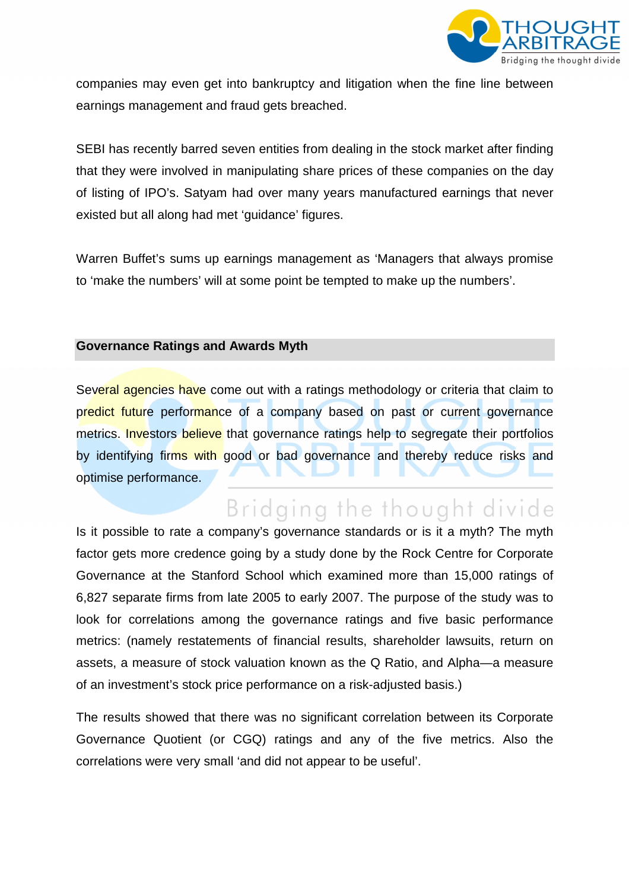

companies may even get into bankruptcy and litigation when the fine line between earnings management and fraud gets breached.

SEBI has recently barred seven entities from dealing in the stock market after finding that they were involved in manipulating share prices of these companies on the day of listing of IPO's. Satyam had over many years manufactured earnings that never existed but all along had met 'guidance' figures.

Warren Buffet's sums up earnings management as 'Managers that always promise to 'make the numbers' will at some point be tempted to make up the numbers'.

### **Governance Ratings and Awards Myth**

Several agencies have come out with a ratings methodology or criteria that claim to predict future performance of a company based on past or current governance metrics. Investors believe that governance ratings help to segregate their portfolios by identifying firms with good or bad governance and thereby reduce risks and optimise performance.

# Bridging the thought divide

Is it possible to rate a company's governance standards or is it a myth? The myth factor gets more credence going by a study done by the Rock Centre for Corporate Governance at the Stanford School which examined more than 15,000 ratings of 6,827 separate firms from late 2005 to early 2007. The purpose of the study was to look for correlations among the governance ratings and five basic performance metrics: (namely restatements of financial results, shareholder lawsuits, return on assets, a measure of stock valuation known as the Q Ratio, and Alpha—a measure of an investment's stock price performance on a risk-adjusted basis.)

The results showed that there was no significant correlation between its Corporate Governance Quotient (or CGQ) ratings and any of the five metrics. Also the correlations were very small 'and did not appear to be useful'.